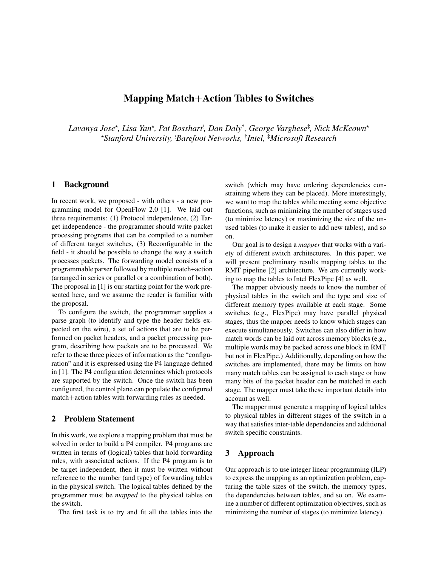# **Mapping Match**+**Action Tables to Switches**

 $L$ avanya Jose\*, Lisa Yan\*, Pat Bosshart<sup>≀</sup>, Dan Daly<sup>†</sup>, George Varghese<sup>‡</sup>, Nick McKeown\* <sup>⋆</sup>*Stanford University,* <sup>≀</sup>*Barefoot Networks,* † *Intel,* ‡*Microsoft Research*

## **1 Background**

In recent work, we proposed - with others - a new programming model for OpenFlow 2.0 [1]. We laid out three requirements: (1) Protocol independence, (2) Target independence - the programmer should write packet processing programs that can be compiled to a number of different target switches, (3) Reconfigurable in the field - it should be possible to change the way a switch processes packets. The forwarding model consists of a programmable parser followed by multiple match+action (arranged in series or parallel or a combination of both). The proposal in [1] is our starting point for the work presented here, and we assume the reader is familiar with the proposal.

To configure the switch, the programmer supplies a parse graph (to identify and type the header fields expected on the wire), a set of actions that are to be performed on packet headers, and a packet processing program, describing how packets are to be processed. We refer to these three pieces of information as the "configuration" and it is expressed using the P4 language defined in [1]. The P4 configuration determines which protocols are supported by the switch. Once the switch has been configured, the control plane can populate the configured match+action tables with forwarding rules as needed.

## **2 Problem Statement**

In this work, we explore a mapping problem that must be solved in order to build a P4 compiler. P4 programs are written in terms of (logical) tables that hold forwarding rules, with associated actions. If the P4 program is to be target independent, then it must be written without reference to the number (and type) of forwarding tables in the physical switch. The logical tables defined by the programmer must be *mapped* to the physical tables on the switch.

The first task is to try and fit all the tables into the

switch (which may have ordering dependencies constraining where they can be placed). More interestingly, we want to map the tables while meeting some objective functions, such as minimizing the number of stages used (to minimize latency) or maximizing the size of the unused tables (to make it easier to add new tables), and so on.

Our goal is to design a *mapper* that works with a variety of different switch architectures. In this paper, we will present preliminary results mapping tables to the RMT pipeline [2] architecture. We are currently working to map the tables to Intel FlexPipe [4] as well.

The mapper obviously needs to know the number of physical tables in the switch and the type and size of different memory types available at each stage. Some switches (e.g., FlexPipe) may have parallel physical stages, thus the mapper needs to know which stages can execute simultaneously. Switches can also differ in how match words can be laid out across memory blocks (e.g., multiple words may be packed across one block in RMT but not in FlexPipe.) Additionally, depending on how the switches are implemented, there may be limits on how many match tables can be assigned to each stage or how many bits of the packet header can be matched in each stage. The mapper must take these important details into account as well.

The mapper must generate a mapping of logical tables to physical tables in different stages of the switch in a way that satisfies inter-table dependencies and additional switch specific constraints.

### **3 Approach**

Our approach is to use integer linear programming (ILP) to express the mapping as an optimization problem, capturing the table sizes of the switch, the memory types, the dependencies between tables, and so on. We examine a number of different optimization objectives, such as minimizing the number of stages (to minimize latency).